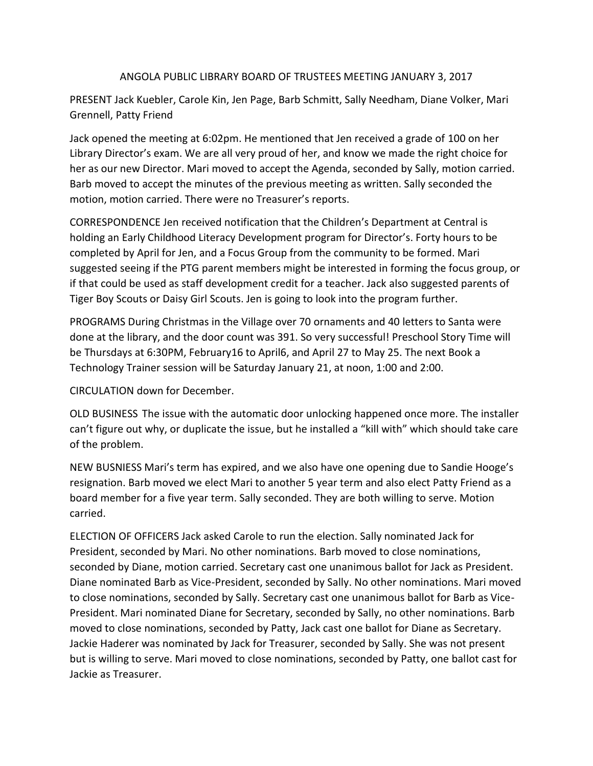## ANGOLA PUBLIC LIBRARY BOARD OF TRUSTEES MEETING JANUARY 3, 2017

PRESENT Jack Kuebler, Carole Kin, Jen Page, Barb Schmitt, Sally Needham, Diane Volker, Mari Grennell, Patty Friend

Jack opened the meeting at 6:02pm. He mentioned that Jen received a grade of 100 on her Library Director's exam. We are all very proud of her, and know we made the right choice for her as our new Director. Mari moved to accept the Agenda, seconded by Sally, motion carried. Barb moved to accept the minutes of the previous meeting as written. Sally seconded the motion, motion carried. There were no Treasurer's reports.

CORRESPONDENCE Jen received notification that the Children's Department at Central is holding an Early Childhood Literacy Development program for Director's. Forty hours to be completed by April for Jen, and a Focus Group from the community to be formed. Mari suggested seeing if the PTG parent members might be interested in forming the focus group, or if that could be used as staff development credit for a teacher. Jack also suggested parents of Tiger Boy Scouts or Daisy Girl Scouts. Jen is going to look into the program further.

PROGRAMS During Christmas in the Village over 70 ornaments and 40 letters to Santa were done at the library, and the door count was 391. So very successful! Preschool Story Time will be Thursdays at 6:30PM, February16 to April6, and April 27 to May 25. The next Book a Technology Trainer session will be Saturday January 21, at noon, 1:00 and 2:00.

CIRCULATION down for December.

OLD BUSINESS The issue with the automatic door unlocking happened once more. The installer can't figure out why, or duplicate the issue, but he installed a "kill with" which should take care of the problem.

NEW BUSNIESS Mari's term has expired, and we also have one opening due to Sandie Hooge's resignation. Barb moved we elect Mari to another 5 year term and also elect Patty Friend as a board member for a five year term. Sally seconded. They are both willing to serve. Motion carried.

ELECTION OF OFFICERS Jack asked Carole to run the election. Sally nominated Jack for President, seconded by Mari. No other nominations. Barb moved to close nominations, seconded by Diane, motion carried. Secretary cast one unanimous ballot for Jack as President. Diane nominated Barb as Vice-President, seconded by Sally. No other nominations. Mari moved to close nominations, seconded by Sally. Secretary cast one unanimous ballot for Barb as Vice-President. Mari nominated Diane for Secretary, seconded by Sally, no other nominations. Barb moved to close nominations, seconded by Patty, Jack cast one ballot for Diane as Secretary. Jackie Haderer was nominated by Jack for Treasurer, seconded by Sally. She was not present but is willing to serve. Mari moved to close nominations, seconded by Patty, one ballot cast for Jackie as Treasurer.